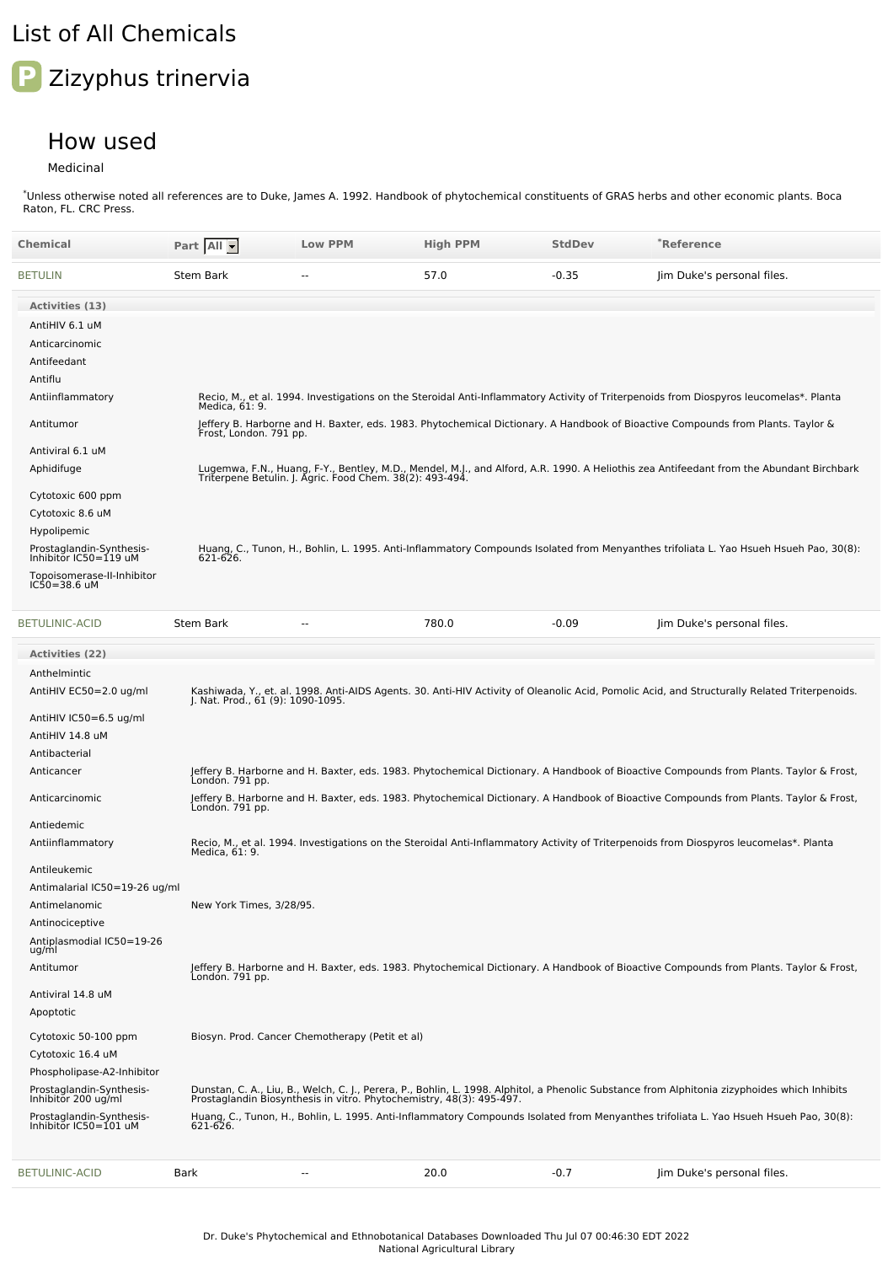## List of All Chemicals

## **P** Zizyphus trinervia

## How used

## Medicinal

\*Unless otherwise noted all references are to Duke, James A. 1992. Handbook of phytochemical constituents of GRAS herbs and other economic plants. Boca Raton, FL. CRC Press.

| Chemical                                          | Part All                          | <b>Low PPM</b>                                  | <b>High PPM</b> | <b>StdDev</b> | <b>`Reference</b>                                                                                                                                                                                                     |
|---------------------------------------------------|-----------------------------------|-------------------------------------------------|-----------------|---------------|-----------------------------------------------------------------------------------------------------------------------------------------------------------------------------------------------------------------------|
| <b>BETULIN</b>                                    | <b>Stem Bark</b>                  | $-$                                             | 57.0            | $-0.35$       | Jim Duke's personal files.                                                                                                                                                                                            |
| <b>Activities (13)</b>                            |                                   |                                                 |                 |               |                                                                                                                                                                                                                       |
| AntiHIV 6.1 uM                                    |                                   |                                                 |                 |               |                                                                                                                                                                                                                       |
| Anticarcinomic                                    |                                   |                                                 |                 |               |                                                                                                                                                                                                                       |
| Antifeedant                                       |                                   |                                                 |                 |               |                                                                                                                                                                                                                       |
| Antiflu                                           |                                   |                                                 |                 |               |                                                                                                                                                                                                                       |
| Antiinflammatory                                  | Medica, 61: 9.                    |                                                 |                 |               | Recio, M., et al. 1994. Investigations on the Steroidal Anti-Inflammatory Activity of Triterpenoids from Diospyros leucomelas*. Planta                                                                                |
| Antitumor                                         | Frost, London. 791 pp.            |                                                 |                 |               | Jeffery B. Harborne and H. Baxter, eds. 1983. Phytochemical Dictionary. A Handbook of Bioactive Compounds from Plants. Taylor &                                                                                       |
| Antiviral 6.1 uM                                  |                                   |                                                 |                 |               |                                                                                                                                                                                                                       |
| Aphidifuge                                        |                                   |                                                 |                 |               | Lugemwa, F.N., Huang, F-Y., Bentley, M.D., Mendel, M.J., and Alford, A.R. 1990. A Heliothis zea Antifeedant from the Abundant Birchbark<br>Triterpene Betulin. J. Agric. Food Chem. 38(2): 493-494.                   |
| Cytotoxic 600 ppm                                 |                                   |                                                 |                 |               |                                                                                                                                                                                                                       |
| Cytotoxic 8.6 uM                                  |                                   |                                                 |                 |               |                                                                                                                                                                                                                       |
| Hypolipemic                                       |                                   |                                                 |                 |               |                                                                                                                                                                                                                       |
| Prostaglandin-Synthesis-<br>Inhibitor IC50=119 uM | 621-626.                          |                                                 |                 |               | Huang, C., Tunon, H., Bohlin, L. 1995. Anti-Inflammatory Compounds Isolated from Menyanthes trifoliata L. Yao Hsueh Hsueh Pao, 30(8):                                                                                 |
| Topoisomerase-II-Inhibitor                        |                                   |                                                 |                 |               |                                                                                                                                                                                                                       |
| $IC50 = 38.6$ uM                                  |                                   |                                                 |                 |               |                                                                                                                                                                                                                       |
| <b>BETULINIC-ACID</b>                             | <b>Stem Bark</b>                  | $\overline{a}$                                  | 780.0           | $-0.09$       | Jim Duke's personal files.                                                                                                                                                                                            |
| <b>Activities (22)</b>                            |                                   |                                                 |                 |               |                                                                                                                                                                                                                       |
| Anthelmintic                                      |                                   |                                                 |                 |               |                                                                                                                                                                                                                       |
| AntiHIV EC50=2.0 ug/ml                            | J. Nat. Prod., 61 (9): 1090-1095. |                                                 |                 |               | Kashiwada, Y., et. al. 1998. Anti-AIDS Agents. 30. Anti-HIV Activity of Oleanolic Acid, Pomolic Acid, and Structurally Related Triterpenoids.                                                                         |
| AntiHIV IC50=6.5 ug/ml                            |                                   |                                                 |                 |               |                                                                                                                                                                                                                       |
| AntiHIV 14.8 uM                                   |                                   |                                                 |                 |               |                                                                                                                                                                                                                       |
| Antibacterial                                     |                                   |                                                 |                 |               |                                                                                                                                                                                                                       |
| Anticancer                                        | Londón. 791 pp.                   |                                                 |                 |               | Jeffery B. Harborne and H. Baxter, eds. 1983. Phytochemical Dictionary. A Handbook of Bioactive Compounds from Plants. Taylor & Frost,                                                                                |
| Anticarcinomic                                    | London. 791 pp.                   |                                                 |                 |               | Jeffery B. Harborne and H. Baxter, eds. 1983. Phytochemical Dictionary. A Handbook of Bioactive Compounds from Plants. Taylor & Frost,                                                                                |
| Antiedemic                                        |                                   |                                                 |                 |               |                                                                                                                                                                                                                       |
| Antiinflammatory                                  | Medica, 61: 9.                    |                                                 |                 |               | Recio, M., et al. 1994. Investigations on the Steroidal Anti-Inflammatory Activity of Triterpenoids from Diospyros leucomelas*. Planta                                                                                |
| Antileukemic                                      |                                   |                                                 |                 |               |                                                                                                                                                                                                                       |
| Antimalarial IC50=19-26 ug/ml                     |                                   |                                                 |                 |               |                                                                                                                                                                                                                       |
| Antimelanomic                                     | New York Times, 3/28/95.          |                                                 |                 |               |                                                                                                                                                                                                                       |
| Antinociceptive                                   |                                   |                                                 |                 |               |                                                                                                                                                                                                                       |
| Antiplasmodial IC50=19-26<br>ug/ml                |                                   |                                                 |                 |               |                                                                                                                                                                                                                       |
| Antitumor                                         | Londón. 791 pp.                   |                                                 |                 |               | Jeffery B. Harborne and H. Baxter, eds. 1983. Phytochemical Dictionary. A Handbook of Bioactive Compounds from Plants. Taylor & Frost,                                                                                |
| Antiviral 14.8 uM                                 |                                   |                                                 |                 |               |                                                                                                                                                                                                                       |
| Apoptotic                                         |                                   |                                                 |                 |               |                                                                                                                                                                                                                       |
| Cytotoxic 50-100 ppm                              |                                   | Biosyn. Prod. Cancer Chemotherapy (Petit et al) |                 |               |                                                                                                                                                                                                                       |
| Cytotoxic 16.4 uM                                 |                                   |                                                 |                 |               |                                                                                                                                                                                                                       |
| Phospholipase-A2-Inhibitor                        |                                   |                                                 |                 |               |                                                                                                                                                                                                                       |
| Prostaglandin-Synthesis-<br>Inhibitor 200 ug/ml   |                                   |                                                 |                 |               | Dunstan, C. A., Liu, B., Welch, C. J., Perera, P., Bohlin, L. 1998. Alphitol, a Phenolic Substance from Alphitonia zizyphoides which Inhibits<br>Prostaglandin Biosynthesis in vitro. Phytochemistry, 48(3): 495-497. |
| Prostaglandin-Synthesis-<br>Inhibitor IC50=101 uM | 621-626.                          |                                                 |                 |               | Huang, C., Tunon, H., Bohlin, L. 1995. Anti-Inflammatory Compounds Isolated from Menyanthes trifoliata L. Yao Hsueh Hsueh Pao, 30(8):                                                                                 |
|                                                   |                                   |                                                 |                 |               |                                                                                                                                                                                                                       |
| <b>BETULINIC-ACID</b>                             | <b>Bark</b>                       | $\overline{a}$                                  | 20.0            | $-0.7$        | Jim Duke's personal files.                                                                                                                                                                                            |